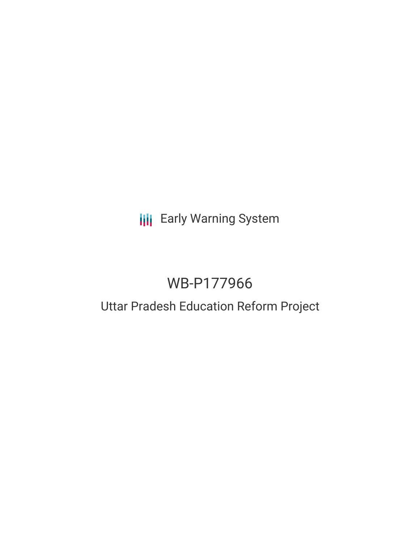## **III** Early Warning System

## WB-P177966

# Uttar Pradesh Education Reform Project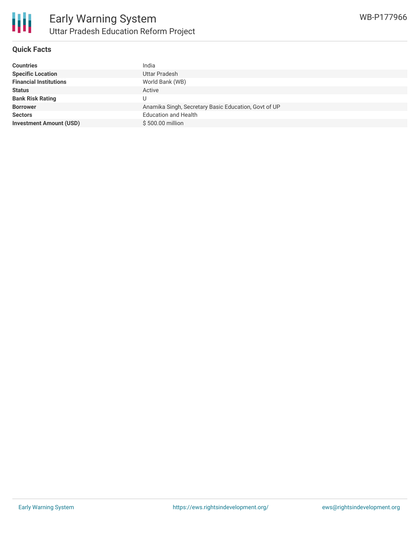### **Quick Facts**

| <b>Countries</b>               | India                                                |
|--------------------------------|------------------------------------------------------|
| <b>Specific Location</b>       | <b>Uttar Pradesh</b>                                 |
| <b>Financial Institutions</b>  | World Bank (WB)                                      |
| <b>Status</b>                  | Active                                               |
| <b>Bank Risk Rating</b>        | U                                                    |
| <b>Borrower</b>                | Anamika Singh, Secretary Basic Education, Govt of UP |
| <b>Sectors</b>                 | <b>Education and Health</b>                          |
| <b>Investment Amount (USD)</b> | \$500,00 million                                     |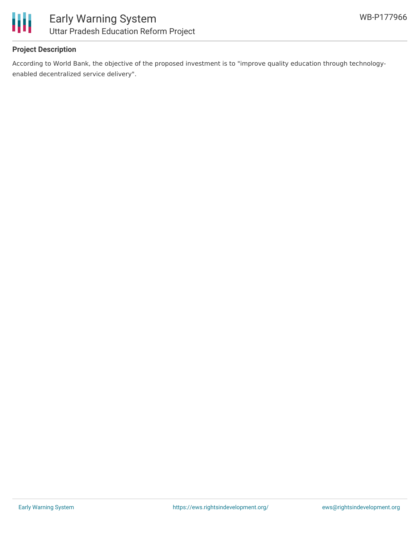

## **Project Description**

According to World Bank, the objective of the proposed investment is to "improve quality education through technologyenabled decentralized service delivery".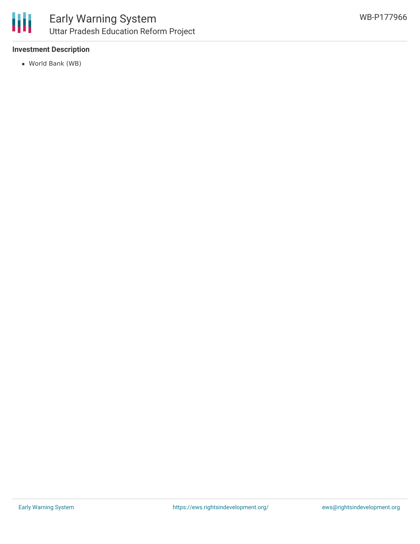

## **Investment Description**

World Bank (WB)